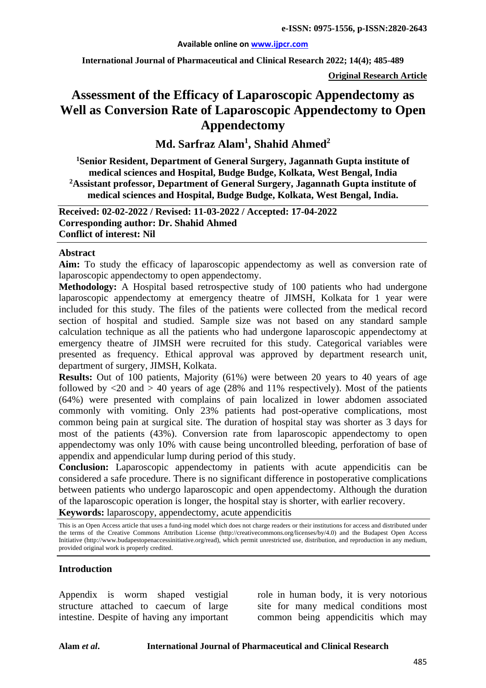#### **Available online on [www.ijpcr.com](http://www.ijpcr.com/)**

**International Journal of Pharmaceutical and Clinical Research 2022; 14(4); 485-489**

**Original Research Article**

# **Assessment of the Efficacy of Laparoscopic Appendectomy as Well as Conversion Rate of Laparoscopic Appendectomy to Open Appendectomy**

**Md. Sarfraz Alam1 , Shahid Ahmed<sup>2</sup>**

**1 Senior Resident, Department of General Surgery, Jagannath Gupta institute of medical sciences and Hospital, Budge Budge, Kolkata, West Bengal, India 2Assistant professor, Department of General Surgery, Jagannath Gupta institute of medical sciences and Hospital, Budge Budge, Kolkata, West Bengal, India.**

**Received: 02-02-2022 / Revised: 11-03-2022 / Accepted: 17-04-2022 Corresponding author: Dr. Shahid Ahmed Conflict of interest: Nil**

### **Abstract**

**Aim:** To study the efficacy of laparoscopic appendectomy as well as conversion rate of laparoscopic appendectomy to open appendectomy.

**Methodology:** A Hospital based retrospective study of 100 patients who had undergone laparoscopic appendectomy at emergency theatre of JIMSH, Kolkata for 1 year were included for this study. The files of the patients were collected from the medical record section of hospital and studied. Sample size was not based on any standard sample calculation technique as all the patients who had undergone laparoscopic appendectomy at emergency theatre of JIMSH were recruited for this study. Categorical variables were presented as frequency. Ethical approval was approved by department research unit, department of surgery, JIMSH, Kolkata.

**Results:** Out of 100 patients, Majority (61%) were between 20 years to 40 years of age followed by  $\langle 20 \rangle$  and  $> 40$  years of age (28% and 11% respectively). Most of the patients (64%) were presented with complains of pain localized in lower abdomen associated commonly with vomiting. Only 23% patients had post-operative complications, most common being pain at surgical site. The duration of hospital stay was shorter as 3 days for most of the patients (43%). Conversion rate from laparoscopic appendectomy to open appendectomy was only 10% with cause being uncontrolled bleeding, perforation of base of appendix and appendicular lump during period of this study.

**Conclusion:** Laparoscopic appendectomy in patients with acute appendicitis can be considered a safe procedure. There is no significant difference in postoperative complications between patients who undergo laparoscopic and open appendectomy. Although the duration of the laparoscopic operation is longer, the hospital stay is shorter, with earlier recovery.

**Keywords:** laparoscopy, appendectomy, acute appendicitis

### **Introduction**

Appendix is worm shaped vestigial structure attached to caecum of large intestine. Despite of having any important role in human body, it is very notorious site for many medical conditions most common being appendicitis which may

This is an Open Access article that uses a fund-ing model which does not charge readers or their institutions for access and distributed under the terms of the Creative Commons Attribution License (http://creativecommons.org/licenses/by/4.0) and the Budapest Open Access Initiative (http://www.budapestopenaccessinitiative.org/read), which permit unrestricted use, distribution, and reproduction in any medium, provided original work is properly credited.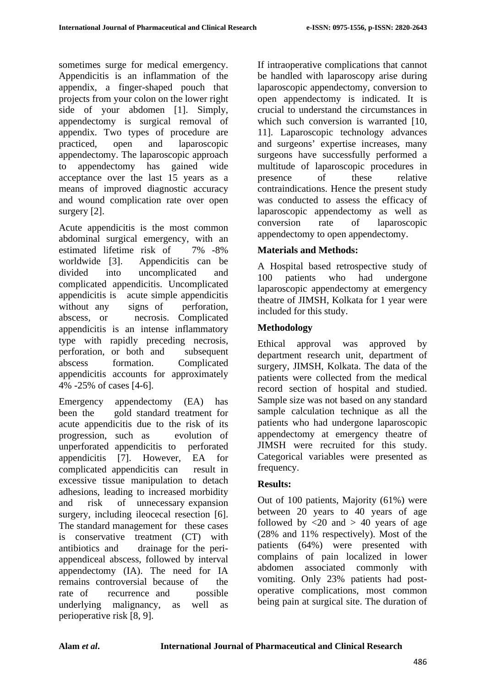sometimes surge for medical emergency. Appendicitis is an inflammation of the appendix, a finger-shaped pouch that projects from your colon on the lower right side of your abdomen [1]. Simply, appendectomy is surgical removal of appendix. Two types of procedure are practiced, open and laparoscopic appendectomy. The laparoscopic approach to appendectomy has gained wide acceptance over the last 15 years as a means of improved diagnostic accuracy and wound complication rate over open surgery [2].

Acute appendicitis is the most common abdominal surgical emergency, with an estimated lifetime risk of 7% -8% worldwide [3]. Appendicitis can be divided into uncomplicated and complicated appendicitis. Uncomplicated appendicitis is acute simple appendicitis without any signs of perforation, abscess, or necrosis. Complicated appendicitis is an intense inflammatory type with rapidly preceding necrosis, perforation, or both and subsequent abscess formation. Complicated appendicitis accounts for approximately 4% -25% of cases [4-6].

Emergency appendectomy (EA) has been the gold standard treatment for acute appendicitis due to the risk of its progression, such as evolution of unperforated appendicitis to perforated appendicitis [7]. However, EA for complicated appendicitis can result in excessive tissue manipulation to detach adhesions, leading to increased morbidity and risk of unnecessary expansion surgery, including ileocecal resection [6]. The standard management for these cases is conservative treatment (CT) with antibiotics and drainage for the periappendiceal abscess, followed by interval appendectomy (IA). The need for IA remains controversial because of the rate of recurrence and possible underlying malignancy, as well as perioperative risk [8, 9].

If intraoperative complications that cannot be handled with laparoscopy arise during laparoscopic appendectomy, conversion to open appendectomy is indicated. It is crucial to understand the circumstances in which such conversion is warranted [10, 11]. Laparoscopic technology advances and surgeons' expertise increases, many surgeons have successfully performed a multitude of laparoscopic procedures in presence of these relative contraindications. Hence the present study was conducted to assess the efficacy of laparoscopic appendectomy as well as conversion rate of laparoscopic appendectomy to open appendectomy.

## **Materials and Methods:**

A Hospital based retrospective study of 100 patients who had undergone laparoscopic appendectomy at emergency theatre of JIMSH, Kolkata for 1 year were included for this study.

## **Methodology**

Ethical approval was approved by department research unit, department of surgery, JIMSH, Kolkata. The data of the patients were collected from the medical record section of hospital and studied. Sample size was not based on any standard sample calculation technique as all the patients who had undergone laparoscopic appendectomy at emergency theatre of JIMSH were recruited for this study. Categorical variables were presented as frequency.

## **Results:**

Out of 100 patients, Majority (61%) were between 20 years to 40 years of age followed by  $\langle 20 \rangle$  and  $> 40$  years of age (28% and 11% respectively). Most of the patients (64%) were presented with complains of pain localized in lower abdomen associated commonly with vomiting. Only 23% patients had postoperative complications, most common being pain at surgical site. The duration of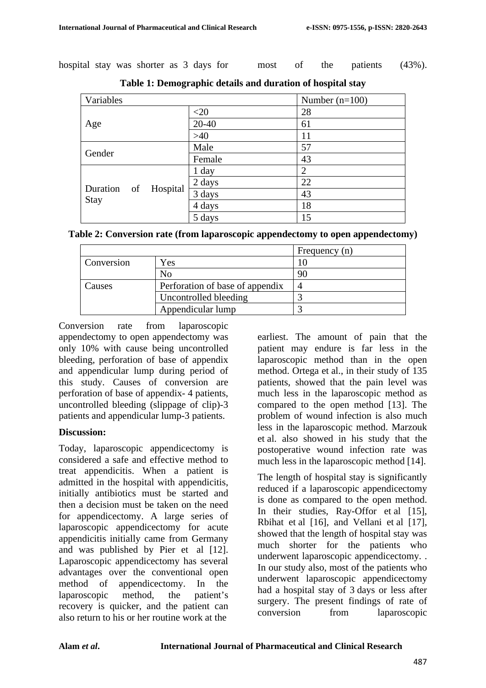hospital stay was shorter as 3 days for most of the patients (43%).

| Variables |                      |        | Number $(n=100)$ |
|-----------|----------------------|--------|------------------|
| Age       |                      | $<$ 20 | 28               |
|           |                      | 20-40  | 61               |
|           |                      | $>40$  | 11               |
| Gender    |                      | Male   | 57               |
|           |                      | Female | 43               |
|           | Duration of Hospital | 1 day  | $\overline{2}$   |
|           |                      | 2 days | 22               |
| Stay      |                      | 3 days | 43               |
|           |                      | 4 days | 18               |
|           |                      | 5 days | 15               |

**Table 1: Demographic details and duration of hospital stay**

| Table 2: Conversion rate (from laparoscopic appendectomy to open appendectomy) |  |
|--------------------------------------------------------------------------------|--|
|--------------------------------------------------------------------------------|--|

|            |                                 | Frequency (n) |
|------------|---------------------------------|---------------|
| Conversion | Yes                             |               |
|            | No                              | 90            |
| Causes     | Perforation of base of appendix |               |
|            | Uncontrolled bleeding           |               |
|            | Appendicular lump               |               |

Conversion rate from laparoscopic appendectomy to open appendectomy was only 10% with cause being uncontrolled bleeding, perforation of base of appendix and appendicular lump during period of this study. Causes of conversion are perforation of base of appendix- 4 patients, uncontrolled bleeding (slippage of clip)-3 patients and appendicular lump-3 patients.

### **Discussion:**

Today, laparoscopic appendicectomy is considered a safe and effective method to treat appendicitis. When a patient is admitted in the hospital with appendicitis, initially antibiotics must be started and then a decision must be taken on the need for appendicectomy. A large series of laparoscopic appendicectomy for acute appendicitis initially came from Germany and was published by Pier et al [12]. Laparoscopic appendicectomy has several advantages over the conventional open method of appendicectomy. In the laparoscopic method, the patient's recovery is quicker, and the patient can also return to his or her routine work at the

earliest. The amount of pain that the patient may endure is far less in the laparoscopic method than in the open method. Ortega et al., in their study of 135 patients, showed that the pain level was much less in the laparoscopic method as compared to the open method [13]. The problem of wound infection is also much less in the laparoscopic method. Marzouk et al. also showed in his study that the postoperative wound infection rate was much less in the laparoscopic method [14].

The length of hospital stay is significantly reduced if a laparoscopic appendicectomy is done as compared to the open method. In their studies, Ray-Offor et al [15], Rbihat et al [16], and Vellani et al [17], showed that the length of hospital stay was much shorter for the patients who underwent laparoscopic appendicectomy. . In our study also, most of the patients who underwent laparoscopic appendicectomy had a hospital stay of 3 days or less after surgery. The present findings of rate of conversion from laparoscopic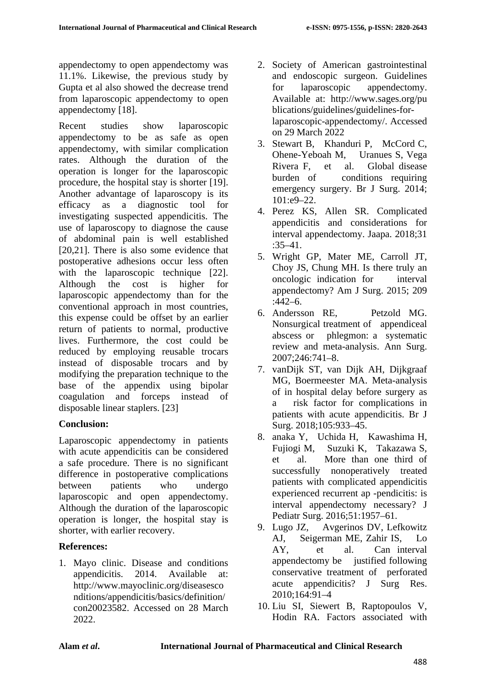appendectomy to open appendectomy was 11.1%. Likewise, the previous study by Gupta et al also showed the decrease trend from laparoscopic appendectomy to open appendectomy [18].

Recent studies show laparoscopic appendectomy to be as safe as open appendectomy, with similar complication rates. Although the duration of the operation is longer for the laparoscopic procedure, the hospital stay is shorter [19]. Another advantage of laparoscopy is its efficacy as a diagnostic tool for investigating suspected appendicitis. The use of laparoscopy to diagnose the cause of abdominal pain is well established [20,21]. There is also some evidence that postoperative adhesions occur less often with the laparoscopic technique [22]. Although the cost is higher for laparoscopic appendectomy than for the conventional approach in most countries, this expense could be offset by an earlier return of patients to normal, productive lives. Furthermore, the cost could be reduced by employing reusable trocars instead of disposable trocars and by modifying the preparation technique to the base of the appendix using bipolar coagulation and forceps instead of disposable linear staplers. [23]

# **Conclusion:**

Laparoscopic appendectomy in patients with acute appendicitis can be considered a safe procedure. There is no significant difference in postoperative complications between patients who undergo laparoscopic and open appendectomy. Although the duration of the laparoscopic operation is longer, the hospital stay is shorter, with earlier recovery.

## **References:**

1. Mayo clinic. Disease and conditions appendicitis. 2014. Available at: http://www.mayoclinic.org/diseasesco nditions/appendicitis/basics/definition/ con20023582. Accessed on 28 March 2022.

- 2. Society of American gastrointestinal and endoscopic surgeon. Guidelines for laparoscopic appendectomy. Available at: http://www.sages.org/pu blications/guidelines/guidelines-forlaparoscopic-appendectomy/. Accessed on 29 March 2022
- 3. Stewart B, Khanduri P, McCord C, Ohene-Yeboah M, Uranues S, Vega Rivera F, et al. Global disease burden of conditions requiring emergency surgery. Br J Surg. 2014; 101:e9–22.
- 4. Perez KS, Allen SR. Complicated appendicitis and considerations for interval appendectomy. Jaapa. 2018;31 :35–41.
- 5. Wright GP, Mater ME, Carroll JT, Choy JS, Chung MH. Is there truly an oncologic indication for interval appendectomy? Am J Surg. 2015; 209 :442–6.
- 6. Andersson RE, Petzold MG. Nonsurgical treatment of appendiceal abscess or phlegmon: a systematic review and meta-analysis. Ann Surg. 2007;246:741–8.
- 7. vanDijk ST, van Dijk AH, Dijkgraaf MG, Boermeester MA. Meta-analysis of in hospital delay before surgery as a risk factor for complications in patients with acute appendicitis. Br J Surg. 2018;105:933–45.
- 8. anaka Y, Uchida H, Kawashima H, Fujiogi M, Suzuki K, Takazawa S, et al. More than one third of successfully nonoperatively treated patients with complicated appendicitis experienced recurrent ap -pendicitis: is interval appendectomy necessary? J Pediatr Surg. 2016;51:1957–61.
- 9. Lugo JZ, Avgerinos DV, Lefkowitz AJ, Seigerman ME, Zahir IS, Lo AY, et al. Can interval appendectomy be justified following conservative treatment of perforated acute appendicitis? J Surg Res. 2010;164:91–4
- 10. Liu SI, Siewert B, Raptopoulos V, Hodin RA. Factors associated with